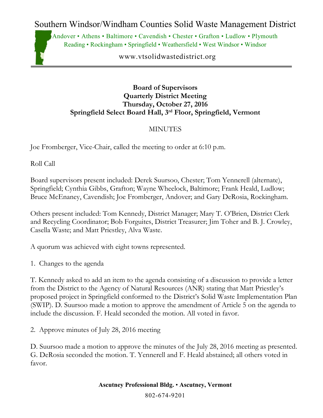Southern Windsor/Windham Counties Solid Waste Management District

Andover • Athens • Baltimore • Cavendish • Chester • Grafton • Ludlow • Plymouth Reading • Rockingham • Springfield • Weathersfield • West Windsor • Windsor

www.vtsolidwastedistrict.org

### **Board of Supervisors Quarterly District Meeting Thursday, October 27, 2016 Springfield Select Board Hall, 3rd Floor, Springfield, Vermont**

## **MINUTES**

Joe Fromberger, Vice-Chair, called the meeting to order at 6:10 p.m.

Roll Call

Board supervisors present included: Derek Suursoo, Chester; Tom Yennerell (alternate), Springfield; Cynthia Gibbs, Grafton; Wayne Wheelock, Baltimore; Frank Heald, Ludlow; Bruce McEnaney, Cavendish; Joe Fromberger, Andover; and Gary DeRosia, Rockingham.

Others present included: Tom Kennedy, District Manager; Mary T. O'Brien, District Clerk and Recycling Coordinator; Bob Forguites, District Treasurer; Jim Toher and B. J. Crowley, Casella Waste; and Matt Priestley, Alva Waste.

A quorum was achieved with eight towns represented.

1. Changes to the agenda

T. Kennedy asked to add an item to the agenda consisting of a discussion to provide a letter from the District to the Agency of Natural Resources (ANR) stating that Matt Priestley's proposed project in Springfield conformed to the District's Solid Waste Implementation Plan (SWIP). D. Suursoo made a motion to approve the amendment of Article 5 on the agenda to include the discussion. F. Heald seconded the motion. All voted in favor.

2. Approve minutes of July 28, 2016 meeting

D. Suursoo made a motion to approve the minutes of the July 28, 2016 meeting as presented. G. DeRosia seconded the motion. T. Yennerell and F. Heald abstained; all others voted in favor.

> **Ascutney Professional Bldg.** • **Ascutney, Vermont** 802-674-9201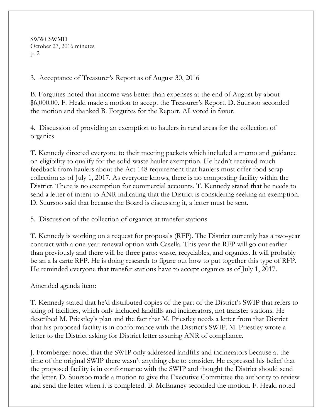SWWCSWMD October 27, 2016 minutes p. 2

## 3. Acceptance of Treasurer's Report as of August 30, 2016

B. Forguites noted that income was better than expenses at the end of August by about \$6,000.00. F. Heald made a motion to accept the Treasurer's Report. D. Suursoo seconded the motion and thanked B. Forguites for the Report. All voted in favor.

4. Discussion of providing an exemption to haulers in rural areas for the collection of organics

T. Kennedy directed everyone to their meeting packets which included a memo and guidance on eligibility to qualify for the solid waste hauler exemption. He hadn't received much feedback from haulers about the Act 148 requirement that haulers must offer food scrap collection as of July 1, 2017. As everyone knows, there is no composting facility within the District. There is no exemption for commercial accounts. T. Kennedy stated that he needs to send a letter of intent to ANR indicating that the District is considering seeking an exemption. D. Suursoo said that because the Board is discussing it, a letter must be sent.

5. Discussion of the collection of organics at transfer stations

T. Kennedy is working on a request for proposals (RFP). The District currently has a two-year contract with a one-year renewal option with Casella. This year the RFP will go out earlier than previously and there will be three parts: waste, recyclables, and organics. It will probably be an a la carte RFP. He is doing research to figure out how to put together this type of RFP. He reminded everyone that transfer stations have to accept organics as of July 1, 2017.

Amended agenda item:

T. Kennedy stated that he'd distributed copies of the part of the District's SWIP that refers to siting of facilities, which only included landfills and incinerators, not transfer stations. He described M. Priestley's plan and the fact that M. Priestley needs a letter from that District that his proposed facility is in conformance with the District's SWIP. M. Priestley wrote a letter to the District asking for District letter assuring ANR of compliance.

J. Fromberger noted that the SWIP only addressed landfills and incinerators because at the time of the original SWIP there wasn't anything else to consider. He expressed his belief that the proposed facility is in conformance with the SWIP and thought the District should send the letter. D. Suursoo made a motion to give the Executive Committee the authority to review and send the letter when it is completed. B. McEnaney seconded the motion. F. Heald noted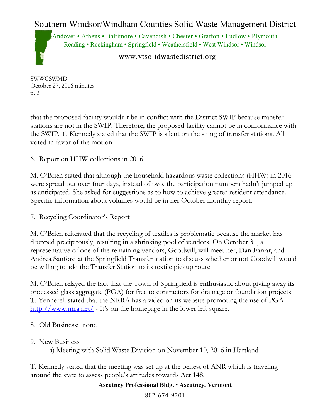# Southern Windsor/Windham Counties Solid Waste Management District

Andover • Athens • Baltimore • Cavendish • Chester • Grafton • Ludlow • Plymouth Reading • Rockingham • Springfield • Weathersfield • West Windsor • Windsor

www.vtsolidwastedistrict.org

SWWCSWMD October 27, 2016 minutes p. 3

that the proposed facility wouldn't be in conflict with the District SWIP because transfer stations are not in the SWIP. Therefore, the proposed facility cannot be in conformance with the SWIP. T. Kennedy stated that the SWIP is silent on the siting of transfer stations. All voted in favor of the motion.

6. Report on HHW collections in 2016

M. O'Brien stated that although the household hazardous waste collections (HHW) in 2016 were spread out over four days, instead of two, the participation numbers hadn't jumped up as anticipated. She asked for suggestions as to how to achieve greater resident attendance. Specific information about volumes would be in her October monthly report.

7. Recycling Coordinator's Report

M. O'Brien reiterated that the recycling of textiles is problematic because the market has dropped precipitously, resulting in a shrinking pool of vendors. On October 31, a representative of one of the remaining vendors, Goodwill, will meet her, Dan Farrar, and Andrea Sanford at the Springfield Transfer station to discuss whether or not Goodwill would be willing to add the Transfer Station to its textile pickup route.

M. O'Brien relayed the fact that the Town of Springfield is enthusiastic about giving away its processed glass aggregate (PGA) for free to contractors for drainage or foundation projects. T. Yennerell stated that the NRRA has a video on its website promoting the use of PGA <http://www.nrra.net/> - It's on the homepage in the lower left square.

- 8. Old Business: none
- 9. New Business

a) Meeting with Solid Waste Division on November 10, 2016 in Hartland

T. Kennedy stated that the meeting was set up at the behest of ANR which is traveling around the state to assess people's attitudes towards Act 148.

### **Ascutney Professional Bldg.** • **Ascutney, Vermont**

802-674-9201